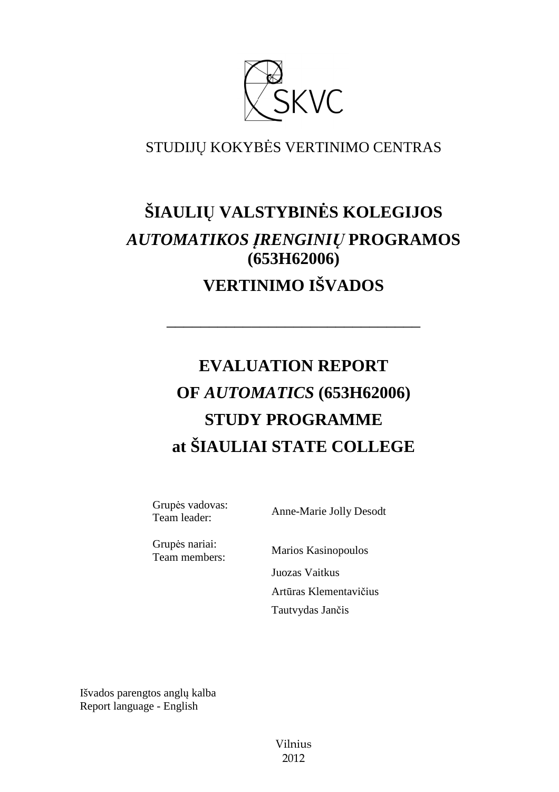

## STUDIJŲ KOKYBĖS VERTINIMO CENTRAS

## **ŠIAULIŲ VALSTYBINĖS KOLEGIJOS**  *AUTOMATIKOS ĮRENGINIŲ* **PROGRAMOS (653H62006) VERTINIMO IŠVADOS**

––––––––––––––––––––––––––––––

# **EVALUATION REPORT OF** *AUTOMATICS* **(653H62006) STUDY PROGRAMME at ŠIAULIAI STATE COLLEGE**

Grupės vadovas:<br>Team leader:

Anne-Marie Jolly Desodt

Grupės nariai: Team members: Marios Kasinopoulos

 Juozas Vaitkus Artūras Klementavičius Tautvydas Jančis

Išvados parengtos anglų kalba Report language - English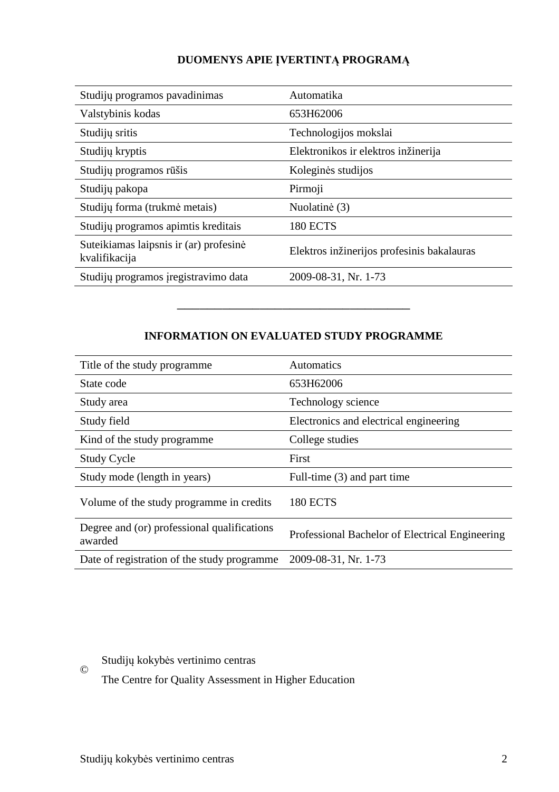## **DUOMENYS APIE ĮVERTINTĄ PROGRAMĄ**

| Studijų programos pavadinimas                           | Automatika                                 |
|---------------------------------------------------------|--------------------------------------------|
| Valstybinis kodas                                       | 653H62006                                  |
| Studijų sritis                                          | Technologijos mokslai                      |
| Studijų kryptis                                         | Elektronikos ir elektros inžinerija        |
| Studijų programos rūšis                                 | Koleginės studijos                         |
| Studijų pakopa                                          | Pirmoji                                    |
| Studijų forma (trukmė metais)                           | Nuolatinė (3)                              |
| Studijų programos apimtis kreditais                     | <b>180 ECTS</b>                            |
| Suteikiamas laipsnis ir (ar) profesinė<br>kvalifikacija | Elektros inžinerijos profesinis bakalauras |
| Studijų programos įregistravimo data                    | 2009-08-31, Nr. 1-73                       |

#### **INFORMATION ON EVALUATED STUDY PROGRAMME**

–––––––––––––––––––––––––––––––

| Title of the study programme.                          | <b>Automatics</b>                               |
|--------------------------------------------------------|-------------------------------------------------|
| State code                                             | 653H62006                                       |
| Study area                                             | Technology science                              |
| Study field                                            | Electronics and electrical engineering          |
| Kind of the study programme.                           | College studies                                 |
| <b>Study Cycle</b>                                     | First                                           |
| Study mode (length in years)                           | Full-time (3) and part time                     |
| Volume of the study programme in credits               | <b>180 ECTS</b>                                 |
| Degree and (or) professional qualifications<br>awarded | Professional Bachelor of Electrical Engineering |
| Date of registration of the study programme            | 2009-08-31, Nr. 1-73                            |

## Studijų kokybės vertinimo centras

The Centre for Quality Assessment in Higher Education

©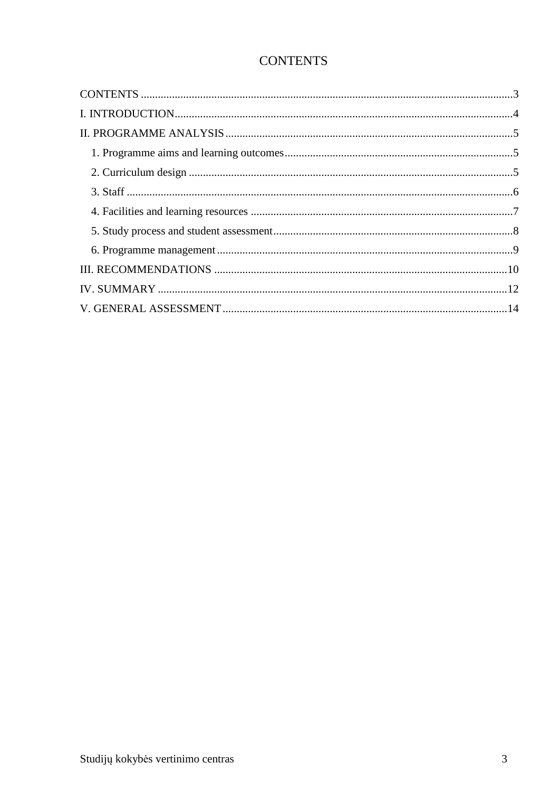## **CONTENTS**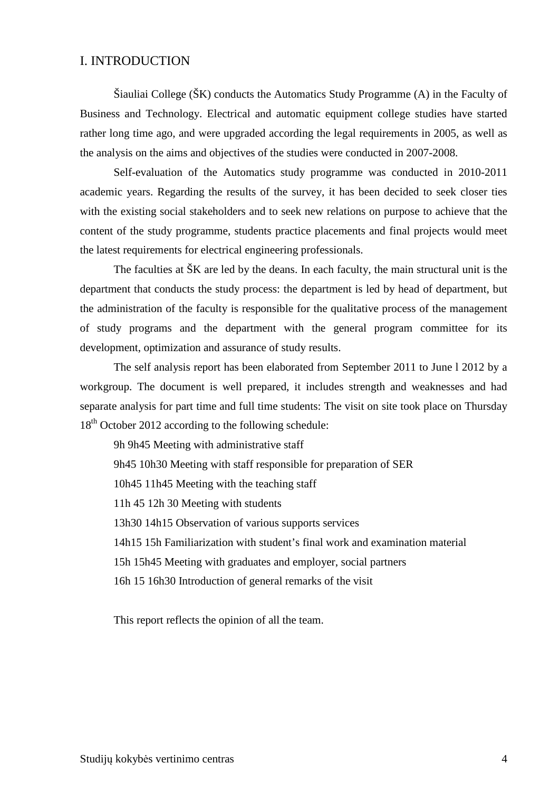#### I. INTRODUCTION

Šiauliai College (ŠK) conducts the Automatics Study Programme (A) in the Faculty of Business and Technology. Electrical and automatic equipment college studies have started rather long time ago, and were upgraded according the legal requirements in 2005, as well as the analysis on the aims and objectives of the studies were conducted in 2007-2008.

Self-evaluation of the Automatics study programme was conducted in 2010-2011 academic years. Regarding the results of the survey, it has been decided to seek closer ties with the existing social stakeholders and to seek new relations on purpose to achieve that the content of the study programme, students practice placements and final projects would meet the latest requirements for electrical engineering professionals.

The faculties at ŠK are led by the deans. In each faculty, the main structural unit is the department that conducts the study process: the department is led by head of department, but the administration of the faculty is responsible for the qualitative process of the management of study programs and the department with the general program committee for its development, optimization and assurance of study results.

The self analysis report has been elaborated from September 2011 to June l 2012 by a workgroup. The document is well prepared, it includes strength and weaknesses and had separate analysis for part time and full time students: The visit on site took place on Thursday 18<sup>th</sup> October 2012 according to the following schedule:

9h 9h45 Meeting with administrative staff 9h45 10h30 Meeting with staff responsible for preparation of SER 10h45 11h45 Meeting with the teaching staff 11h 45 12h 30 Meeting with students 13h30 14h15 Observation of various supports services 14h15 15h Familiarization with student's final work and examination material 15h 15h45 Meeting with graduates and employer, social partners 16h 15 16h30 Introduction of general remarks of the visit

This report reflects the opinion of all the team.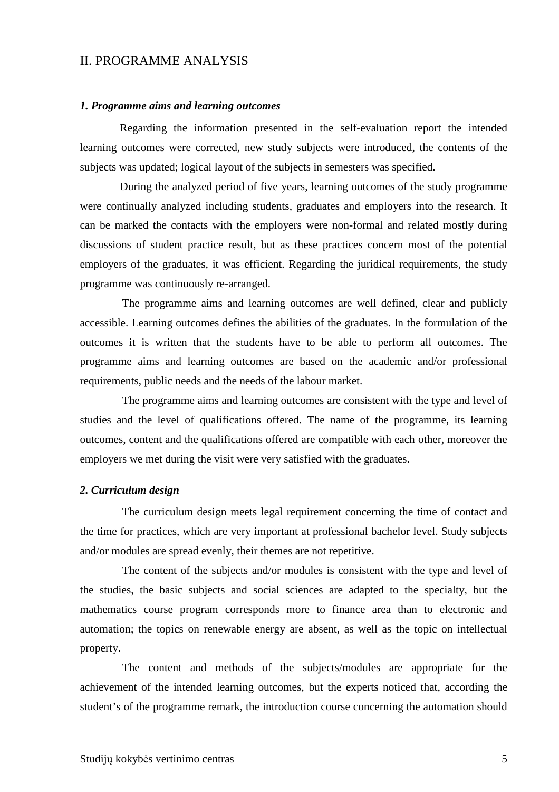#### II. PROGRAMME ANALYSIS

#### *1. Programme aims and learning outcomes*

 Regarding the information presented in the self-evaluation report the intended learning outcomes were corrected, new study subjects were introduced, the contents of the subjects was updated; logical layout of the subjects in semesters was specified.

 During the analyzed period of five years, learning outcomes of the study programme were continually analyzed including students, graduates and employers into the research. It can be marked the contacts with the employers were non-formal and related mostly during discussions of student practice result, but as these practices concern most of the potential employers of the graduates, it was efficient. Regarding the juridical requirements, the study programme was continuously re-arranged.

 The programme aims and learning outcomes are well defined, clear and publicly accessible. Learning outcomes defines the abilities of the graduates. In the formulation of the outcomes it is written that the students have to be able to perform all outcomes. The programme aims and learning outcomes are based on the academic and/or professional requirements, public needs and the needs of the labour market.

 The programme aims and learning outcomes are consistent with the type and level of studies and the level of qualifications offered. The name of the programme, its learning outcomes, content and the qualifications offered are compatible with each other, moreover the employers we met during the visit were very satisfied with the graduates.

#### *2. Curriculum design*

 The curriculum design meets legal requirement concerning the time of contact and the time for practices, which are very important at professional bachelor level. Study subjects and/or modules are spread evenly, their themes are not repetitive.

 The content of the subjects and/or modules is consistent with the type and level of the studies, the basic subjects and social sciences are adapted to the specialty, but the mathematics course program corresponds more to finance area than to electronic and automation; the topics on renewable energy are absent, as well as the topic on intellectual property.

 The content and methods of the subjects/modules are appropriate for the achievement of the intended learning outcomes, but the experts noticed that, according the student's of the programme remark, the introduction course concerning the automation should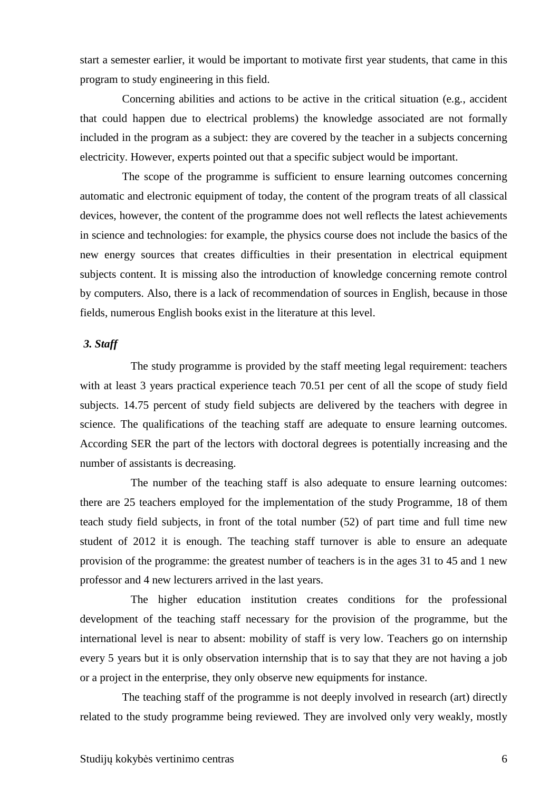start a semester earlier, it would be important to motivate first year students, that came in this program to study engineering in this field.

 Concerning abilities and actions to be active in the critical situation (e.g., accident that could happen due to electrical problems) the knowledge associated are not formally included in the program as a subject: they are covered by the teacher in a subjects concerning electricity. However, experts pointed out that a specific subject would be important.

 The scope of the programme is sufficient to ensure learning outcomes concerning automatic and electronic equipment of today, the content of the program treats of all classical devices, however, the content of the programme does not well reflects the latest achievements in science and technologies: for example, the physics course does not include the basics of the new energy sources that creates difficulties in their presentation in electrical equipment subjects content. It is missing also the introduction of knowledge concerning remote control by computers. Also, there is a lack of recommendation of sources in English, because in those fields, numerous English books exist in the literature at this level.

#### *3. Staff*

 The study programme is provided by the staff meeting legal requirement: teachers with at least 3 years practical experience teach 70.51 per cent of all the scope of study field subjects. 14.75 percent of study field subjects are delivered by the teachers with degree in science. The qualifications of the teaching staff are adequate to ensure learning outcomes. According SER the part of the lectors with doctoral degrees is potentially increasing and the number of assistants is decreasing.

 The number of the teaching staff is also adequate to ensure learning outcomes: there are 25 teachers employed for the implementation of the study Programme, 18 of them teach study field subjects, in front of the total number (52) of part time and full time new student of 2012 it is enough. The teaching staff turnover is able to ensure an adequate provision of the programme: the greatest number of teachers is in the ages 31 to 45 and 1 new professor and 4 new lecturers arrived in the last years.

 The higher education institution creates conditions for the professional development of the teaching staff necessary for the provision of the programme, but the international level is near to absent: mobility of staff is very low. Teachers go on internship every 5 years but it is only observation internship that is to say that they are not having a job or a project in the enterprise, they only observe new equipments for instance.

 The teaching staff of the programme is not deeply involved in research (art) directly related to the study programme being reviewed. They are involved only very weakly, mostly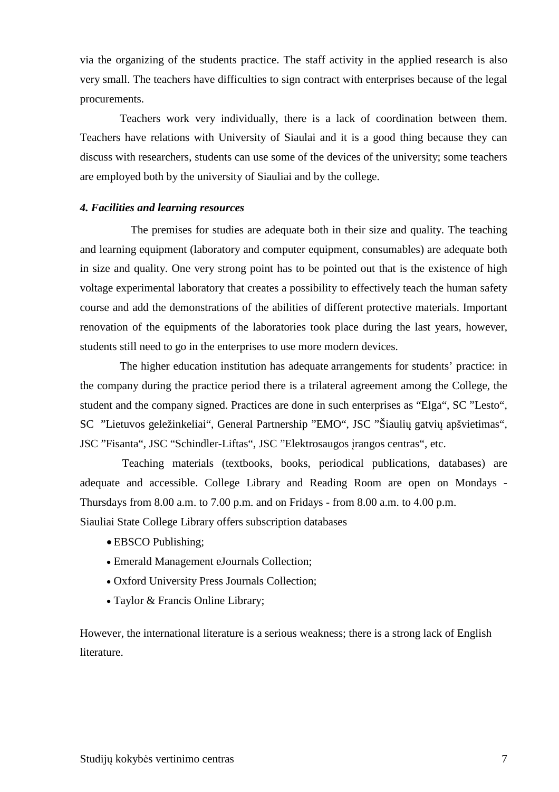via the organizing of the students practice. The staff activity in the applied research is also very small. The teachers have difficulties to sign contract with enterprises because of the legal procurements.

Teachers work very individually, there is a lack of coordination between them. Teachers have relations with University of Siaulai and it is a good thing because they can discuss with researchers, students can use some of the devices of the university; some teachers are employed both by the university of Siauliai and by the college.

#### *4. Facilities and learning resources*

 The premises for studies are adequate both in their size and quality. The teaching and learning equipment (laboratory and computer equipment, consumables) are adequate both in size and quality. One very strong point has to be pointed out that is the existence of high voltage experimental laboratory that creates a possibility to effectively teach the human safety course and add the demonstrations of the abilities of different protective materials. Important renovation of the equipments of the laboratories took place during the last years, however, students still need to go in the enterprises to use more modern devices.

The higher education institution has adequate arrangements for students' practice: in the company during the practice period there is a trilateral agreement among the College, the student and the company signed. Practices are done in such enterprises as "Elga", SC "Lesto", SC "Lietuvos geležinkeliai", General Partnership "EMO", JSC "Šiaulių gatvių apšvietimas", JSC "Fisanta", JSC "Schindler-Liftas", JSC "Elektrosaugos įrangos centras", etc.

 Teaching materials (textbooks, books, periodical publications, databases) are adequate and accessible. College Library and Reading Room are open on Mondays - Thursdays from 8.00 a.m. to 7.00 p.m. and on Fridays - from 8.00 a.m. to 4.00 p.m. Siauliai State College Library offers subscription databases

- EBSCO Publishing;
- Emerald Management eJournals Collection;
- Oxford University Press Journals Collection;
- Taylor & Francis Online Library;

However, the international literature is a serious weakness; there is a strong lack of English literature.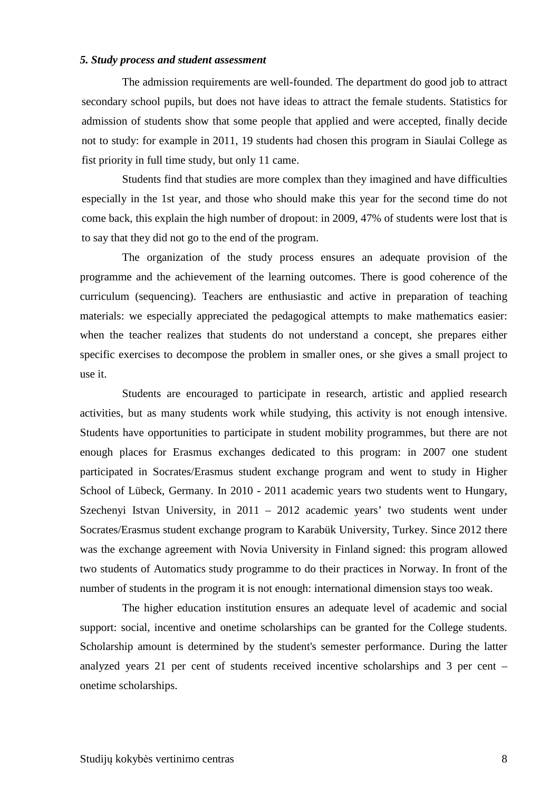#### *5. Study process and student assessment*

 The admission requirements are well-founded. The department do good job to attract secondary school pupils, but does not have ideas to attract the female students. Statistics for admission of students show that some people that applied and were accepted, finally decide not to study: for example in 2011, 19 students had chosen this program in Siaulai College as fist priority in full time study, but only 11 came.

 Students find that studies are more complex than they imagined and have difficulties especially in the 1st year, and those who should make this year for the second time do not come back, this explain the high number of dropout: in 2009, 47% of students were lost that is to say that they did not go to the end of the program.

 The organization of the study process ensures an adequate provision of the programme and the achievement of the learning outcomes. There is good coherence of the curriculum (sequencing). Teachers are enthusiastic and active in preparation of teaching materials: we especially appreciated the pedagogical attempts to make mathematics easier: when the teacher realizes that students do not understand a concept, she prepares either specific exercises to decompose the problem in smaller ones, or she gives a small project to use it.

 Students are encouraged to participate in research, artistic and applied research activities, but as many students work while studying, this activity is not enough intensive. Students have opportunities to participate in student mobility programmes, but there are not enough places for Erasmus exchanges dedicated to this program: in 2007 one student participated in Socrates/Erasmus student exchange program and went to study in Higher School of Lübeck, Germany. In 2010 - 2011 academic years two students went to Hungary, Szechenyi Istvan University, in 2011 – 2012 academic years' two students went under Socrates/Erasmus student exchange program to Karabük University, Turkey. Since 2012 there was the exchange agreement with Novia University in Finland signed: this program allowed two students of Automatics study programme to do their practices in Norway. In front of the number of students in the program it is not enough: international dimension stays too weak.

 The higher education institution ensures an adequate level of academic and social support: social, incentive and onetime scholarships can be granted for the College students. Scholarship amount is determined by the student's semester performance. During the latter analyzed years 21 per cent of students received incentive scholarships and 3 per cent – onetime scholarships.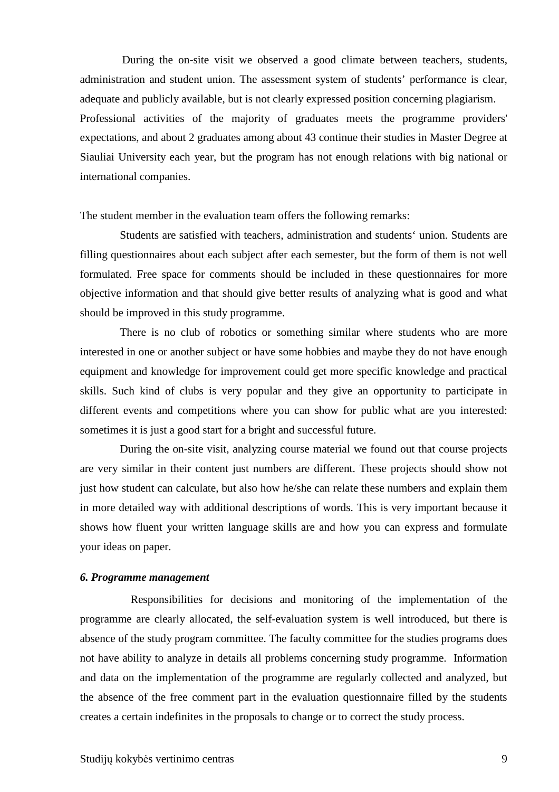During the on-site visit we observed a good climate between teachers, students, administration and student union. The assessment system of students' performance is clear, adequate and publicly available, but is not clearly expressed position concerning plagiarism. Professional activities of the majority of graduates meets the programme providers' expectations, and about 2 graduates among about 43 continue their studies in Master Degree at Siauliai University each year, but the program has not enough relations with big national or international companies.

The student member in the evaluation team offers the following remarks:

Students are satisfied with teachers, administration and students' union. Students are filling questionnaires about each subject after each semester, but the form of them is not well formulated. Free space for comments should be included in these questionnaires for more objective information and that should give better results of analyzing what is good and what should be improved in this study programme.

 There is no club of robotics or something similar where students who are more interested in one or another subject or have some hobbies and maybe they do not have enough equipment and knowledge for improvement could get more specific knowledge and practical skills. Such kind of clubs is very popular and they give an opportunity to participate in different events and competitions where you can show for public what are you interested: sometimes it is just a good start for a bright and successful future.

 During the on-site visit, analyzing course material we found out that course projects are very similar in their content just numbers are different. These projects should show not just how student can calculate, but also how he/she can relate these numbers and explain them in more detailed way with additional descriptions of words. This is very important because it shows how fluent your written language skills are and how you can express and formulate your ideas on paper.

#### *6. Programme management*

 Responsibilities for decisions and monitoring of the implementation of the programme are clearly allocated, the self-evaluation system is well introduced, but there is absence of the study program committee. The faculty committee for the studies programs does not have ability to analyze in details all problems concerning study programme. Information and data on the implementation of the programme are regularly collected and analyzed, but the absence of the free comment part in the evaluation questionnaire filled by the students creates a certain indefinites in the proposals to change or to correct the study process.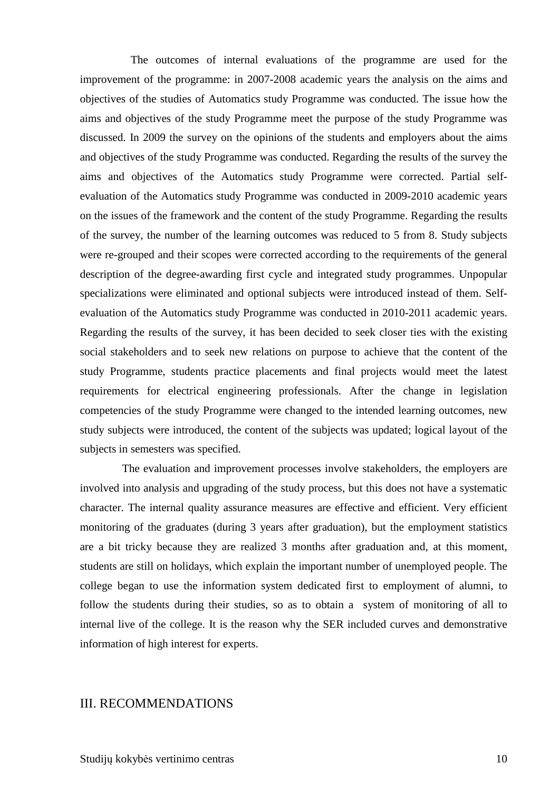The outcomes of internal evaluations of the programme are used for the improvement of the programme: in 2007-2008 academic years the analysis on the aims and objectives of the studies of Automatics study Programme was conducted. The issue how the aims and objectives of the study Programme meet the purpose of the study Programme was discussed. In 2009 the survey on the opinions of the students and employers about the aims and objectives of the study Programme was conducted. Regarding the results of the survey the aims and objectives of the Automatics study Programme were corrected. Partial selfevaluation of the Automatics study Programme was conducted in 2009-2010 academic years on the issues of the framework and the content of the study Programme. Regarding the results of the survey, the number of the learning outcomes was reduced to 5 from 8. Study subjects were re-grouped and their scopes were corrected according to the requirements of the general description of the degree-awarding first cycle and integrated study programmes. Unpopular specializations were eliminated and optional subjects were introduced instead of them. Selfevaluation of the Automatics study Programme was conducted in 2010-2011 academic years. Regarding the results of the survey, it has been decided to seek closer ties with the existing social stakeholders and to seek new relations on purpose to achieve that the content of the study Programme, students practice placements and final projects would meet the latest requirements for electrical engineering professionals. After the change in legislation competencies of the study Programme were changed to the intended learning outcomes, new study subjects were introduced, the content of the subjects was updated; logical layout of the subjects in semesters was specified.

 The evaluation and improvement processes involve stakeholders, the employers are involved into analysis and upgrading of the study process, but this does not have a systematic character. The internal quality assurance measures are effective and efficient. Very efficient monitoring of the graduates (during 3 years after graduation), but the employment statistics are a bit tricky because they are realized 3 months after graduation and, at this moment, students are still on holidays, which explain the important number of unemployed people. The college began to use the information system dedicated first to employment of alumni, to follow the students during their studies, so as to obtain a system of monitoring of all to internal live of the college. It is the reason why the SER included curves and demonstrative information of high interest for experts.

#### III. RECOMMENDATIONS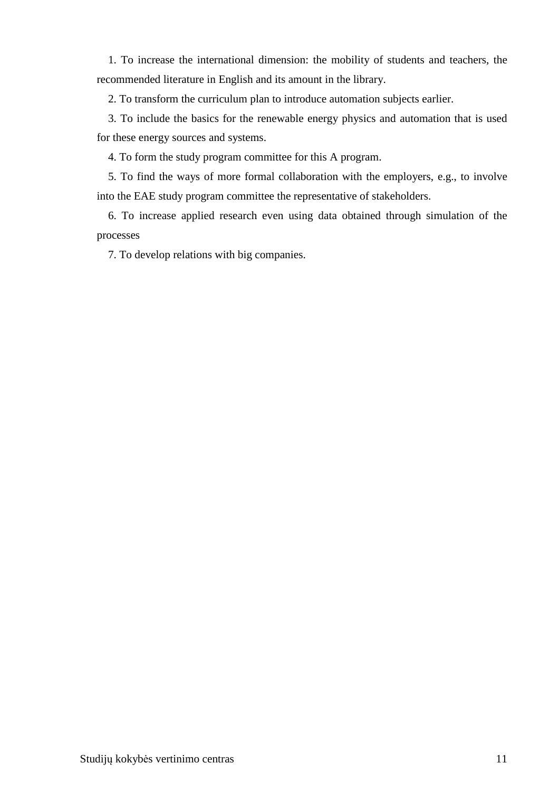1. To increase the international dimension: the mobility of students and teachers, the recommended literature in English and its amount in the library.

2. To transform the curriculum plan to introduce automation subjects earlier.

 3. To include the basics for the renewable energy physics and automation that is used for these energy sources and systems.

4. To form the study program committee for this A program.

 5. To find the ways of more formal collaboration with the employers, e.g., to involve into the EAE study program committee the representative of stakeholders.

 6. To increase applied research even using data obtained through simulation of the processes

7. To develop relations with big companies.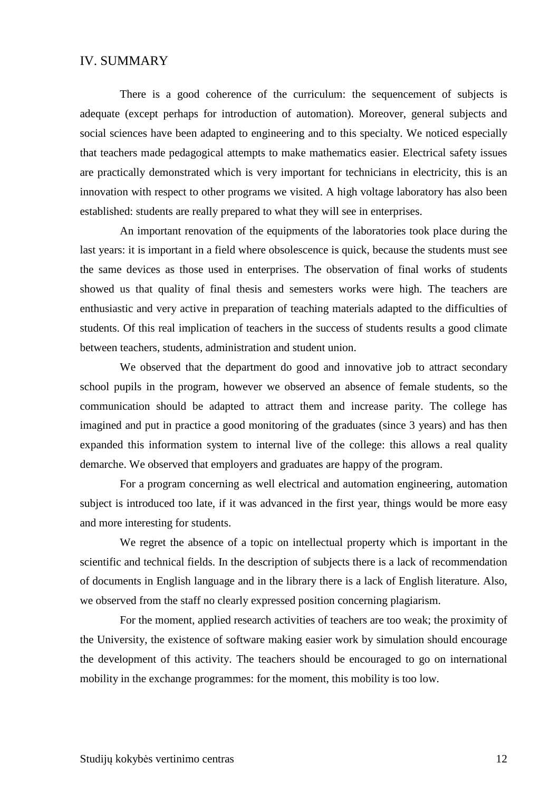#### IV. SUMMARY

There is a good coherence of the curriculum: the sequencement of subjects is adequate (except perhaps for introduction of automation). Moreover, general subjects and social sciences have been adapted to engineering and to this specialty. We noticed especially that teachers made pedagogical attempts to make mathematics easier. Electrical safety issues are practically demonstrated which is very important for technicians in electricity, this is an innovation with respect to other programs we visited. A high voltage laboratory has also been established: students are really prepared to what they will see in enterprises.

An important renovation of the equipments of the laboratories took place during the last years: it is important in a field where obsolescence is quick, because the students must see the same devices as those used in enterprises. The observation of final works of students showed us that quality of final thesis and semesters works were high. The teachers are enthusiastic and very active in preparation of teaching materials adapted to the difficulties of students. Of this real implication of teachers in the success of students results a good climate between teachers, students, administration and student union.

We observed that the department do good and innovative job to attract secondary school pupils in the program, however we observed an absence of female students, so the communication should be adapted to attract them and increase parity. The college has imagined and put in practice a good monitoring of the graduates (since 3 years) and has then expanded this information system to internal live of the college: this allows a real quality demarche. We observed that employers and graduates are happy of the program.

For a program concerning as well electrical and automation engineering, automation subject is introduced too late, if it was advanced in the first year, things would be more easy and more interesting for students.

We regret the absence of a topic on intellectual property which is important in the scientific and technical fields. In the description of subjects there is a lack of recommendation of documents in English language and in the library there is a lack of English literature. Also, we observed from the staff no clearly expressed position concerning plagiarism.

For the moment, applied research activities of teachers are too weak; the proximity of the University, the existence of software making easier work by simulation should encourage the development of this activity. The teachers should be encouraged to go on international mobility in the exchange programmes: for the moment, this mobility is too low.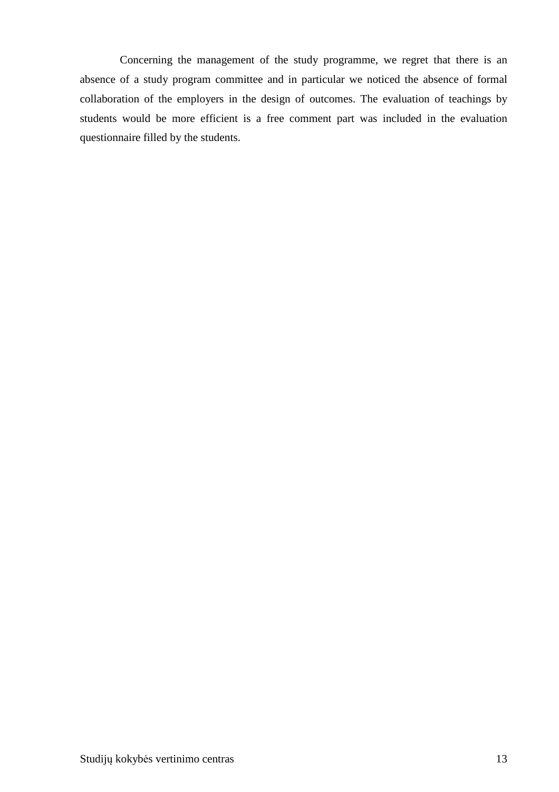Concerning the management of the study programme, we regret that there is an absence of a study program committee and in particular we noticed the absence of formal collaboration of the employers in the design of outcomes. The evaluation of teachings by students would be more efficient is a free comment part was included in the evaluation questionnaire filled by the students.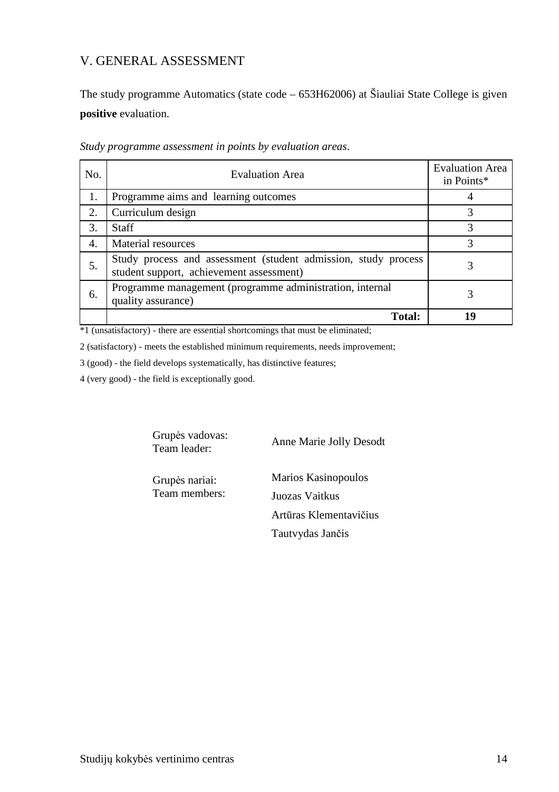## V. GENERAL ASSESSMENT

The study programme Automatics (state code – 653H62006) at Šiauliai State College is given **positive** evaluation.

| No. | <b>Evaluation Area</b>                                                                                     | <b>Evaluation Area</b><br>in Points* |
|-----|------------------------------------------------------------------------------------------------------------|--------------------------------------|
| 1.  | Programme aims and learning outcomes                                                                       |                                      |
| 2.  | Curriculum design                                                                                          | 3                                    |
| 3.  | <b>Staff</b>                                                                                               | 3                                    |
| 4.  | <b>Material resources</b>                                                                                  | 3                                    |
| .5. | Study process and assessment (student admission, study process<br>student support, achievement assessment) | 3                                    |
| 6.  | Programme management (programme administration, internal<br>quality assurance)                             | 3                                    |
|     | <b>Total:</b>                                                                                              | 19                                   |

*Study programme assessment in points by evaluation areas*.

\*1 (unsatisfactory) - there are essential shortcomings that must be eliminated;

2 (satisfactory) - meets the established minimum requirements, needs improvement;

3 (good) - the field develops systematically, has distinctive features;

4 (very good) - the field is exceptionally good.

Grupės vadovas:<br>Team leader:

Anne Marie Jolly Desodt

Team members: Juozas Vaitkus

Grupės nariai: Marios Kasinopoulos Artūras Klementavičius Tautvydas Jančis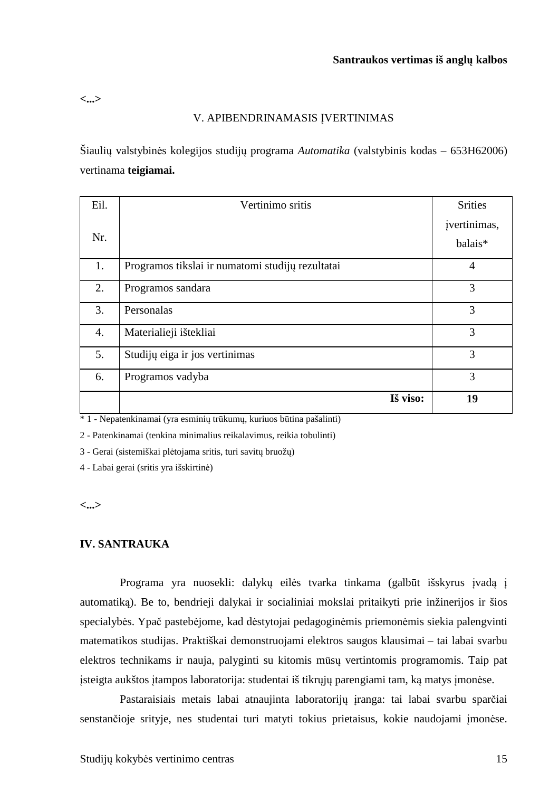**<...>** 

#### V. APIBENDRINAMASIS ĮVERTINIMAS

Šiaulių valstybinės kolegijos studijų programa *Automatika* (valstybinis kodas – 653H62006) vertinama **teigiamai.** 

| Eil.             | Vertinimo sritis                                 | <b>Srities</b>          |
|------------------|--------------------------------------------------|-------------------------|
| Nr.              |                                                  | jvertinimas,<br>balais* |
| 1.               | Programos tikslai ir numatomi studijų rezultatai | $\overline{4}$          |
| 2.               | Programos sandara                                | 3                       |
| 3.               | Personalas                                       | 3                       |
| $\overline{4}$ . | Materialieji ištekliai                           | 3                       |
| 5.               | Studijų eiga ir jos vertinimas                   | 3                       |
| 6.               | Programos vadyba                                 | 3                       |
|                  | Iš viso:                                         | 19                      |

\* 1 - Nepatenkinamai (yra esminių trūkumų, kuriuos būtina pašalinti)

2 - Patenkinamai (tenkina minimalius reikalavimus, reikia tobulinti)

3 - Gerai (sistemiškai plėtojama sritis, turi savitų bruožų)

4 - Labai gerai (sritis yra išskirtinė)

**<...>** 

#### **IV. SANTRAUKA**

Programa yra nuosekli: dalykų eilės tvarka tinkama (galbūt išskyrus įvadą į automatiką). Be to, bendrieji dalykai ir socialiniai mokslai pritaikyti prie inžinerijos ir šios specialybės. Ypač pastebėjome, kad dėstytojai pedagoginėmis priemonėmis siekia palengvinti matematikos studijas. Praktiškai demonstruojami elektros saugos klausimai – tai labai svarbu elektros technikams ir nauja, palyginti su kitomis mūsų vertintomis programomis. Taip pat įsteigta aukštos įtampos laboratorija: studentai iš tikrųjų parengiami tam, ką matys įmonėse.

Pastaraisiais metais labai atnaujinta laboratorijų įranga: tai labai svarbu sparčiai senstančioje srityje, nes studentai turi matyti tokius prietaisus, kokie naudojami įmonėse.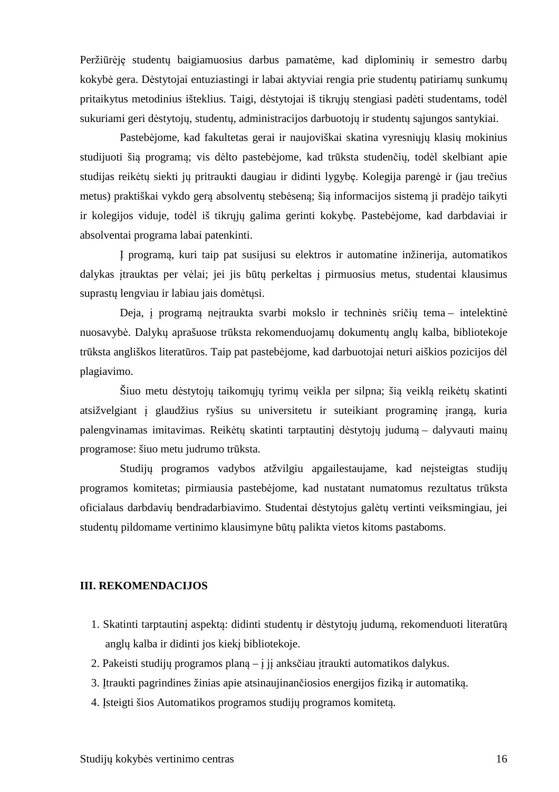Peržiūrėję studentų baigiamuosius darbus pamatėme, kad diplominių ir semestro darbų kokybė gera. Dėstytojai entuziastingi ir labai aktyviai rengia prie studentų patiriamų sunkumų pritaikytus metodinius išteklius. Taigi, dėstytojai iš tikrųjų stengiasi padėti studentams, todėl sukuriami geri dėstytojų, studentų, administracijos darbuotojų ir studentų sąjungos santykiai.

Pastebėjome, kad fakultetas gerai ir naujoviškai skatina vyresniųjų klasių mokinius studijuoti šią programą; vis dėlto pastebėjome, kad trūksta studenčių, todėl skelbiant apie studijas reikėtų siekti jų pritraukti daugiau ir didinti lygybę. Kolegija parengė ir (jau trečius metus) praktiškai vykdo gerą absolventų stebėseną; šią informacijos sistemą ji pradėjo taikyti ir kolegijos viduje, todėl iš tikrųjų galima gerinti kokybę. Pastebėjome, kad darbdaviai ir absolventai programa labai patenkinti.

Į programą, kuri taip pat susijusi su elektros ir automatine inžinerija, automatikos dalykas įtrauktas per vėlai; jei jis būtų perkeltas į pirmuosius metus, studentai klausimus suprastų lengviau ir labiau jais domėtųsi.

Deja, į programą neįtraukta svarbi mokslo ir techninės sričių tema – intelektinė nuosavybė. Dalykų aprašuose trūksta rekomenduojamų dokumentų anglų kalba, bibliotekoje trūksta angliškos literatūros. Taip pat pastebėjome, kad darbuotojai neturi aiškios pozicijos dėl plagiavimo.

Šiuo metu dėstytojų taikomųjų tyrimų veikla per silpna; šią veiklą reikėtų skatinti atsižvelgiant į glaudžius ryšius su universitetu ir suteikiant programinę įrangą, kuria palengvinamas imitavimas. Reikėtų skatinti tarptautinį dėstytojų judumą – dalyvauti mainų programose: šiuo metu judrumo trūksta.

Studijų programos vadybos atžvilgiu apgailestaujame, kad neįsteigtas studijų programos komitetas; pirmiausia pastebėjome, kad nustatant numatomus rezultatus trūksta oficialaus darbdavių bendradarbiavimo. Studentai dėstytojus galėtų vertinti veiksmingiau, jei studentų pildomame vertinimo klausimyne būtų palikta vietos kitoms pastaboms.

#### **III. REKOMENDACIJOS**

- 1. Skatinti tarptautinį aspektą: didinti studentų ir dėstytojų judumą, rekomenduoti literatūrą anglų kalba ir didinti jos kiekį bibliotekoje.
- 2. Pakeisti studijų programos planą į jį anksčiau įtraukti automatikos dalykus.
- 3. Įtraukti pagrindines žinias apie atsinaujinančiosios energijos fiziką ir automatiką.
- 4. Įsteigti šios Automatikos programos studijų programos komitetą.